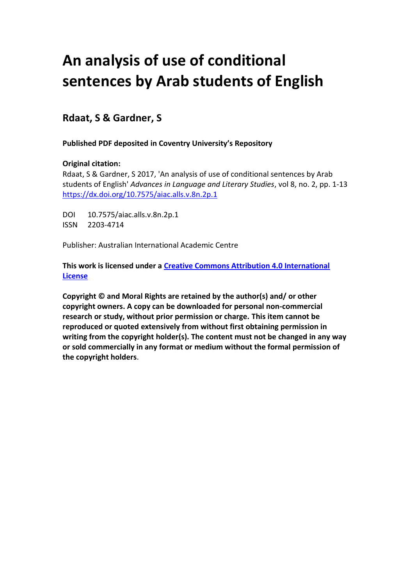# **An analysis of use of conditional sentences by Arab students of English**

# **Rdaat, S & Gardner, S**

# **Published PDF deposited in Coventry University's Repository**

# **Original citation:**

Rdaat, S & Gardner, S 2017, 'An analysis of use of conditional sentences by Arab students of English' *Advances in Language and Literary Studies*, vol 8, no. 2, pp. 1-13 [https://dx.doi.org/10.7575/aiac.alls.v.8n.2p.1](https://dx.doi.org/10.1016/j.nicl.2017.07.004)

DOI 10.7575/aiac.alls.v.8n.2p.1 ISSN 2203-4714

Publisher: Australian International Academic Centre

**This work is licensed under a [Creative Commons Attribution 4.0 International](http://creativecommons.org/licenses/by/4.0/)  [License](http://creativecommons.org/licenses/by/4.0/)**

**Copyright © and Moral Rights are retained by the author(s) and/ or other copyright owners. A copy can be downloaded for personal non-commercial research or study, without prior permission or charge. This item cannot be reproduced or quoted extensively from without first obtaining permission in writing from the copyright holder(s). The content must not be changed in any way or sold commercially in any format or medium without the formal permission of the copyright holders**.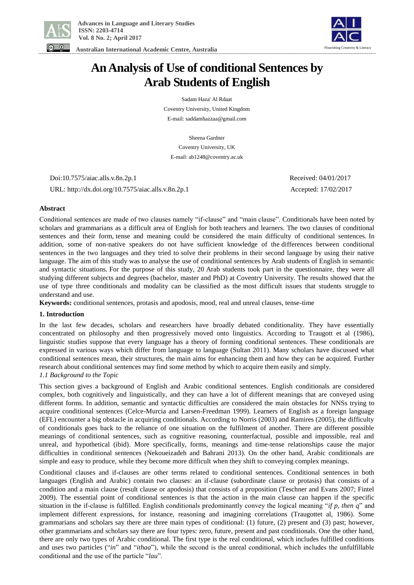

 **Australian International Academic Centre, Australia** 



**An Analysis of Use of conditional Sentences by Arab Students of English**

> Sadam Haza' Al Rdaat Coventry University, United Kingdom E-mail: saddamhazzaa@gmail.com

> > Sheena Gardner

Coventry University, UK E-mail: ab1248@coventry.ac.uk

 Doi:10.7575/aiac.alls.v.8n.2p.1 Received: 04/01/2017 URL: http://dx.doi.org/10.7575/aiac.alls.v.8n.2p.1 Accepted: 17/02/2017

# **Abstract**

Conditional sentences are made of two clauses namely "if-clause" and "main clause". Conditionals have been noted by scholars and grammarians as a difficult area of English for both teachers and learners. The two clauses of conditional sentences and their form, tense and meaning could be considered the main difficulty of conditional sentences. In addition, some of non-native speakers do not have sufficient knowledge of the differences between conditional sentences in the two languages and they tried to solve their problems in their second language by using their native language. The aim of this study was to analyse the use of conditional sentences by Arab students of English in semantic and syntactic situations. For the purpose of this study, 20 Arab students took part in the questionnaire, they were all studying different subjects and degrees (bachelor, master and PhD) at Coventry University. The results showed that the use of type three conditionals and modality can be classified as the most difficult issues that students struggle to understand and use.

**Keywords:** conditional sentences, protasis and apodosis, mood, real and unreal clauses, tense-time

# **1. Introduction**

In the last few decades, scholars and researchers have broadly debated conditionality. They have essentially concentrated on philosophy and then progressively moved onto linguistics. According to Traugott et al (1986), linguistic studies suppose that every language has a theory of forming conditional sentences. These conditionals are expressed in various ways which differ from language to language (Sultan 2011). Many scholars have discussed what conditional sentences mean, their structures, the main aims for enhancing them and how they can be acquired. Further research about conditional sentences may find some method by which to acquire them easily and simply.

# *1.1 Background to the Topic*

This section gives a background of English and Arabic conditional sentences. English conditionals are considered complex, both cognitively and linguistically, and they can have a lot of different meanings that are conveyed using different forms. In addition, semantic and syntactic difficulties are considered the main obstacles for NNSs trying to acquire conditional sentences (Celce-Murcia and Larsen-Freedman 1999). Learners of English as a foreign language (EFL) encounter a big obstacle in acquiring conditionals. According to Norris (2003) and Ramires (2005), the difficulty of conditionals goes back to the reliance of one situation on the fulfilment of another. There are different possible meanings of conditional sentences, such as cognitive reasoning, counterfactual, possible and impossible, real and unreal, and hypothetical (ibid). More specifically, forms, meanings and time-tense relationships cause the major difficulties in conditional sentences (Nekoueizadeh and Bahrani 2013). On the other hand, Arabic conditionals are simple and easy to produce, while they become more difficult when they shift to conveying complex meanings.

Conditional clauses and if-clauses are other terms related to conditional sentences. Conditional sentences in both languages (English and Arabic) contain two clauses: an if-clause (subordinate clause or protasis) that consists of a condition and a main clause (result clause or apodosis) that consists of a proposition (Teschner and Evans 2007; Fintel 2009). The essential point of conditional sentences is that the action in the main clause can happen if the specific situation in the if-clause is fulfilled. English conditionals predominantly convey the logical meaning "*if p, then q*" and implement different expressions, for instance, reasoning and imagining correlations (Traugottet al, 1986). Some grammarians and scholars say there are three main types of conditional: (1) future, (2) present and (3) past; however, other grammarians and scholars say there are four types: zero, future, present and past conditionals. One the other hand, there are only two types of Arabic conditional. The first type is the real conditional, which includes fulfilled conditions and uses two particles ("*in*" and "*ithaa*"), while the second is the unreal conditional, which includes the unfulfillable conditional and the use of the particle "*lau*".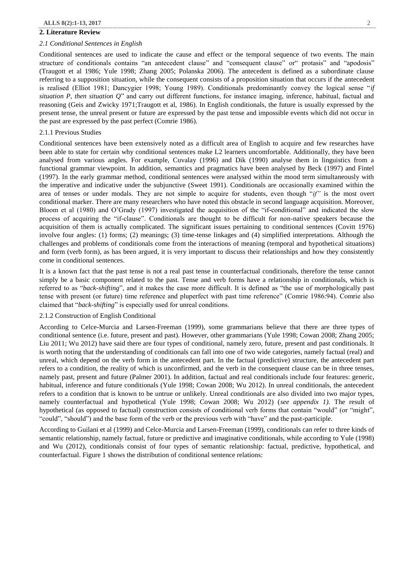#### **2. Literature Review**

#### *2.1 Conditional Sentences in English*

Conditional sentences are used to indicate the cause and effect or the temporal sequence of two events. The main structure of conditionals contains "an antecedent clause" and "consequent clause" or" protasis" and "apodosis" (Traugott et al 1986; Yule 1998; Zhang 2005; Polanska 2006). The antecedent is defined as a subordinate clause referring to a supposition situation, while the consequent consists of a proposition situation that occurs if the antecedent is realised (Elliot 1981; Dancygier 1998; Young 1989). Conditionals predominantly convey the logical sense "*if situation P, then situation Q*" and carry out different functions, for instance imaging, inference, habitual, factual and reasoning (Geis and Zwicky 1971;Traugott et al, 1986). In English conditionals, the future is usually expressed by the present tense, the unreal present or future are expressed by the past tense and impossible events which did not occur in the past are expressed by the past perfect (Comrie 1986).

#### 2.1.1 Previous Studies

Conditional sentences have been extensively noted as a difficult area of English to acquire and few researches have been able to state for certain why conditional sentences make L2 learners uncomfortable. Additionally, they have been analysed from various angles. For example, Cuvalay (1996) and Dik (1990) analyse them in linguistics from a functional grammar viewpoint. In addition, semantics and pragmatics have been analysed by Beck (1997) and Fintel (1997). In the early grammar method, conditional sentences were analysed within the mood term simultaneously with the imperative and indicative under the subjunctive (Sweet 1991). Conditionals are occasionally examined within the area of tenses or under modals. They are not simple to acquire for students, even though "*if"* is the most overt conditional marker. There are many researchers who have noted this obstacle in second language acquisition. Moreover, Bloom et al (1980) and O'Grady (1997) investigated the acquisition of the "if-conditional" and indicated the slow process of acquiring the "if-clause". Conditionals are thought to be difficult for non-native speakers because the acquisition of them is actually complicated. The significant issues pertaining to conditional sentences (Covitt 1976) involve four angles: (1) forms; (2) meanings; (3) time-tense linkages and (4) simplified interpretations. Although the challenges and problems of conditionals come from the interactions of meaning (temporal and hypothetical situations) and form (verb form), as has been argued, it is very important to discuss their relationships and how they consistently come in conditional sentences.

It is a known fact that the past tense is not a real past tense in counterfactual conditionals, therefore the tense cannot simply be a basic component related to the past. Tense and verb forms have a relationship in conditionals, which is referred to as "*back-shifting*", and it makes the case more difficult. It is defined as "the use of morphologically past tense with present (or future) time reference and pluperfect with past time reference" (Comrie 1986:94). Comrie also claimed that "*back-shifting*" is especially used for unreal conditions.

# 2.1.2 Construction of English Conditional

According to Celce-Murcia and Larsen-Freeman (1999), some grammarians believe that there are three types of conditional sentence (i.e. future, present and past). However, other grammarians (Yule 1998; Cowan 2008; Zhang 2005; Liu 2011; Wu 2012) have said there are four types of conditional, namely zero, future, present and past conditionals. It is worth noting that the understanding of conditionals can fall into one of two wide categories, namely factual (real) and unreal, which depend on the verb form in the antecedent part. In the factual (predictive) structure, the antecedent part refers to a condition, the reality of which is unconfirmed, and the verb in the consequent clause can be in three tenses, namely past, present and future (Palmer 2001). In addition, factual and real conditionals include four features: generic, habitual, inference and future conditionals (Yule 1998; Cowan 2008; Wu 2012). In unreal conditionals, the antecedent refers to a condition that is known to be untrue or unlikely. Unreal conditionals are also divided into two major types, namely counterfactual and hypothetical (Yule 1998; Cowan 2008; Wu 2012) (*see appendix 1).* The result of hypothetical (as opposed to factual) construction consists of conditional verb forms that contain "would" (or "might", "could", "should") and the base form of the verb or the previous verb with "have" and the past-participle.

According to Guilani et al (1999) and Celce-Murcia and Larsen-Freeman (1999), conditionals can refer to three kinds of semantic relationship, namely factual, future or predictive and imaginative conditionals, while according to Yule (1998) and Wu (2012), conditionals consist of four types of semantic relationship: factual, predictive, hypothetical, and counterfactual. Figure 1 shows the distribution of conditional sentence relations: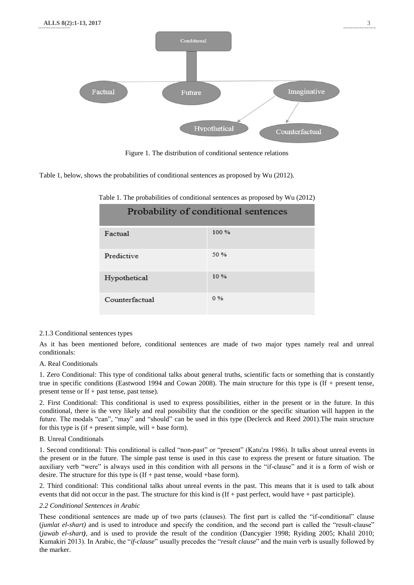

Figure 1. The distribution of conditional sentence relations

Table 1, below, shows the probabilities of conditional sentences as proposed by Wu (2012).

| Probability of conditional sentences |       |  |
|--------------------------------------|-------|--|
| Factual                              | 100 % |  |
| Predictive                           | 50 %  |  |
| Hypothetical                         | 10%   |  |
| Counterfactual                       | 0%    |  |

Table 1. The probabilities of conditional sentences as proposed by Wu (2012)

## 2.1.3 Conditional sentences types

As it has been mentioned before, conditional sentences are made of two major types namely real and unreal conditionals:

# A. Real Conditionals

1. Zero Conditional: This type of conditional talks about general truths, scientific facts or something that is constantly true in specific conditions (Eastwood 1994 and Cowan 2008). The main structure for this type is (If + present tense, present tense or If + past tense, past tense).

2. First Conditional: This conditional is used to express possibilities, either in the present or in the future. In this conditional, there is the very likely and real possibility that the condition or the specific situation will happen in the future. The modals "can", "may" and "should" can be used in this type (Declerck and Reed 2001).The main structure for this type is  $(if + present simple, will + base form)$ .

# B. Unreal Conditionals

1. Second conditional: This conditional is called "non-past" or "present" (Katu'za 1986). It talks about unreal events in the present or in the future. The simple past tense is used in this case to express the present or future situation. The auxiliary verb "were" is always used in this condition with all persons in the "if-clause" and it is a form of wish or desire. The structure for this type is  $(If +$  past tense, would +base form).

2. Third conditional: This conditional talks about unreal events in the past. This means that it is used to talk about events that did not occur in the past. The structure for this kind is (If + past perfect, would have + past participle).

## *2.2 Conditional Sentences in Arabic*

These conditional sentences are made up of two parts (clauses). The first part is called the "if-conditional" clause (*jumlat el-shart)* and is used to introduce and specify the condition, and the second part is called the "result-clause" (*jawab el-shart)*, and is used to provide the result of the condition (Dancygier 1998; Ryiding 2005; Khalil 2010; Kumakiri 2013). In Arabic, the "*if-clause*" usually precedes the "*result clause*" and the main verb is usually followed by the marker.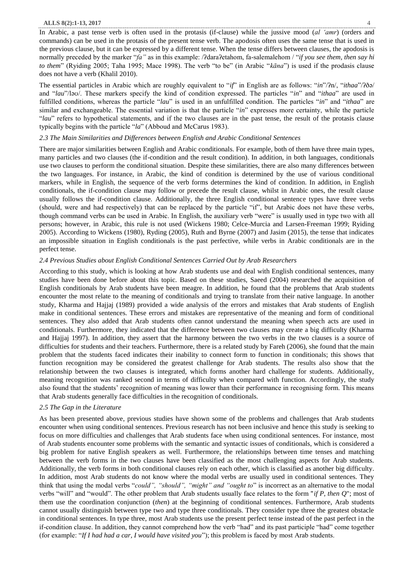#### **ALLS 8(2):1-13, 2017** 4

In Arabic, a past tense verb is often used in the protasis (if-clause) while the jussive mood (*al 'amr*) (orders and commands) can be used in the protasis of the present tense verb. The apodosis often uses the same tense that is used in the previous clause, but it can be expressed by a different tense. When the tense differs between clauses, the apodosis is normally preceded by the marker "fa" as in this example: /ʔdaraʔetahom, fa-salemalehom / "if you see them, then say hi *to them*" (Ryiding 2005; Taha 1995; Mace 1998). The verb "to be" (in Arabic "*kāna*") is used if the prodasis clause does not have a verb (Khalil 2010).

The essential particles in Arabic which are roughly equivalent to "*if*" in English are as follows: "*in*"/ʔn/, "*ithaa*"/ʔðə/ and "*lau*"/ləʊ/. These markers specify the kind of condition expressed. The particles "*in*" and "*ithaa*" are used in fulfilled conditions, whereas the particle "*lau*" is used in an unfulfilled condition. The particles "*in*" and "*ithaa*" are similar and exchangeable. The essential variation is that the particle "*in*" expresses more certainty, while the particle "*lau*" refers to hypothetical statements, and if the two clauses are in the past tense, the result of the protasis clause typically begins with the particle "*la*" (Abboud and McCarus 1983).

#### *2.3 The Main Similarities and Differences between English and Arabic Conditional Sentences*

There are major similarities between English and Arabic conditionals. For example, both of them have three main types, many particles and two clauses (the if-condition and the result condition). In addition, in both languages, conditionals use two clauses to perform the conditional situation. Despite these similarities, there are also many differences between the two languages. For instance, in Arabic, the kind of condition is determined by the use of various conditional markers, while in English, the sequence of the verb forms determines the kind of condition. In addition, in English conditionals, the if-condition clause may follow or precede the result clause, whilst in Arabic ones, the result clause usually follows the if-condition clause. Additionally, the three English conditional sentence types have three verbs (should, were and had respectively) that can be replaced by the particle "if", but Arabic does not have these verbs, though command verbs can be used in Arabic. In English, the auxiliary verb "were" is usually used in type two with all persons; however, in Arabic, this rule is not used (Wickens 1980; Celce-Murcia and Larsen-Freeman 1999; Ryiding 2005). According to Wickens (1980), Ryding (2005), Ruth and Byrne (2007) and Jasim (2015), the tense that indicates an impossible situation in English conditionals is the past perfective, while verbs in Arabic conditionals are in the perfect tense.

## *2.4 Previous Studies about English Conditional Sentences Carried Out by Arab Researchers*

According to this study, which is looking at how Arab students use and deal with English conditional sentences, many studies have been done before about this topic. Based on these studies, Saeed (2004) researched the acquisition of English conditionals by Arab students have been meagre. In addition, he found that the problems that Arab students encounter the most relate to the meaning of conditionals and trying to translate from their native language. In another study, Kharma and Hajjaj (1989) provided a wide analysis of the errors and mistakes that Arab students of English make in conditional sentences. These errors and mistakes are representative of the meaning and form of conditional sentences. They also added that Arab students often cannot understand the meaning when speech acts are used in conditionals. Furthermore, they indicated that the difference between two clauses may create a big difficulty (Kharma and Hajjaj 1997). In addition, they assert that the harmony between the two verbs in the two clauses is a source of difficulties for students and their teachers. Furthermore, there is a related study by Fareh (2006), she found that the main problem that the students faced indicates their inability to connect form to function in conditionals; this shows that function recognition may be considered the greatest challenge for Arab students. The results also show that the relationship between the two clauses is integrated, which forms another hard challenge for students. Additionally, meaning recognition was ranked second in terms of difficulty when compared with function. Accordingly, the study also found that the students' recognition of meaning was lower than their performance in recognising form. This means that Arab students generally face difficulties in the recognition of conditionals.

#### *2.5 The Gap in the Literature*

As has been presented above, previous studies have shown some of the problems and challenges that Arab students encounter when using conditional sentences. Previous research has not been inclusive and hence this study is seeking to focus on more difficulties and challenges that Arab students face when using conditional sentences. For instance, most of Arab students encounter some problems with the semantic and syntactic issues of conditionals, which is considered a big problem for native English speakers as well. Furthermore, the relationships between time tenses and matching between the verb forms in the two clauses have been classified as the most challenging aspects for Arab students. Additionally, the verb forms in both conditional clauses rely on each other, which is classified as another big difficulty. In addition, most Arab students do not know where the modal verbs are usually used in conditional sentences. They think that using the modal verbs "*could", "should", "might" and "ought to*" is incorrect as an alternative to the modal verbs "will" and "would". The other problem that Arab students usually face relates to the form "*if P, then Q*"; most of them use the coordination conjunction (*then*) at the beginning of conditional sentences. Furthermore, Arab students cannot usually distinguish between type two and type three conditionals. They consider type three the greatest obstacle in conditional sentences. In type three, most Arab students use the present perfect tense instead of the past perfect in the if-condition clause. In addition, they cannot comprehend how the verb "had" and its past participle "had" come together (for example: "*If I had had a car, I would have visited you*"); this problem is faced by most Arab students.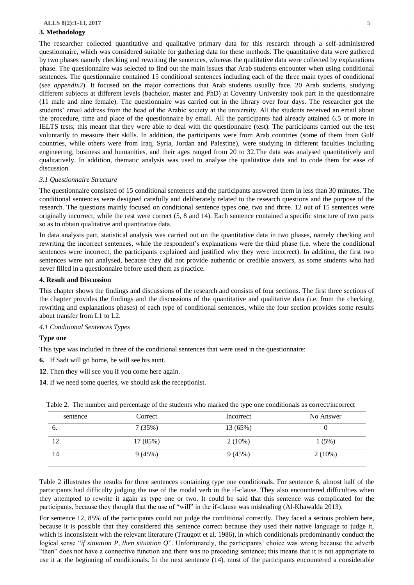#### **3. Methodology**

The researcher collected quantitative and qualitative primary data for this research through a self-administered questionnaire, which was considered suitable for gathering data for these methods. The quantitative data were gathered by two phases namely checking and rewriting the sentences, whereas the qualitative data were collected by explanations phase. The questionnaire was selected to find out the main issues that Arab students encounter when using conditional sentences. The questionnaire contained 15 conditional sentences including each of the three main types of conditional (*see appendix2*). It focused on the major corrections that Arab students usually face. 20 Arab students, studying different subjects at different levels (bachelor, master and PhD) at Coventry University took part in the questionnaire (11 male and nine female). The questionnaire was carried out in the library over four days. The researcher got the students' email address from the head of the Arabic society at the university. All the students received an email about the procedure, time and place of the questionnaire by email. All the participants had already attained 6.5 or more in IELTS tests; this meant that they were able to deal with the questionnaire (test). The participants carried out the test voluntarily to measure their skills. In addition, the participants were from Arab countries (some of them from Gulf countries, while others were from Iraq, Syria, Jordan and Palestine), were studying in different faculties including engineering, business and humanities, and their ages ranged from 20 to 32.The data was analysed quantitatively and qualitatively. In addition, thematic analysis was used to analyse the qualitative data and to code them for ease of discussion.

#### *3.1 Questionnaire Structure*

The questionnaire consisted of 15 conditional sentences and the participants answered them in less than 30 minutes. The conditional sentences were designed carefully and deliberately related to the research questions and the purpose of the research. The questions mainly focused on conditional sentence types one, two and three. 12 out of 15 sentences were originally incorrect, while the rest were correct (5, 8 and 14). Each sentence contained a specific structure of two parts so as to obtain qualitative and quantitative data.

In data analysis part, statistical analysis was carried out on the quantitative data in two phases, namely checking and rewriting the incorrect sentences, while the respondent's explanations were the third phase (i.e. where the conditional sentences were incorrect, the participants explained and justified why they were incorrect). In addition, the first two sentences were not analysed, because they did not provide authentic or credible answers, as some students who had never filled in a questionnaire before used them as practice.

#### **4. Result and Discussion**

This chapter shows the findings and discussions of the research and consists of four sections. The first three sections of the chapter provides the findings and the discussions of the quantitative and qualitative data (i.e. from the checking, rewriting and explanations phases) of each type of conditional sentences, while the four section provides some results about transfer from L1 to L2.

#### *4.1 Conditional Sentences Types*

#### **Type one**

This type was included in three of the conditional sentences that were used in the questionnaire:

- **6.** If Sadi will go home, he will see his aunt.
- **12**. Then they will see you if you come here again.
- **14**. If we need some queries, we should ask the receptionist.

| Correct  | Incorrect | No Answer |
|----------|-----------|-----------|
| 7(35%)   | 13 (65%)  |           |
| 17 (85%) | $2(10\%)$ | 1(5%)     |
| 9(45%)   | 9(45%)    | $2(10\%)$ |
|          |           |           |

Table 2. The number and percentage of the students who marked the type one conditionals as correct/incorrect

Table 2 illustrates the results for three sentences containing type one conditionals. For sentence 6, almost half of the participants had difficulty judging the use of the modal verb in the if-clause. They also encountered difficulties when they attempted to rewrite it again as type one or two. It could be said that this sentence was complicated for the participants, because they thought that the use of "will" in the if-clause was misleading (Al-Khawalda 2013).

For sentence 12, 85% of the participants could not judge the conditional correctly. They faced a serious problem here, because it is possible that they considered this sentence correct because they used their native language to judge it, which is inconsistent with the relevant literature (Traugott et al. 1986), in which conditionals predominantly conduct the logical sense "*if situation P, then situation Q*". Unfortunately, the participants' choice was wrong because the adverb "then" does not have a connective function and there was no preceding sentence; this means that it is not appropriate to use it at the beginning of conditionals. In the next sentence (14), most of the participants encountered a considerable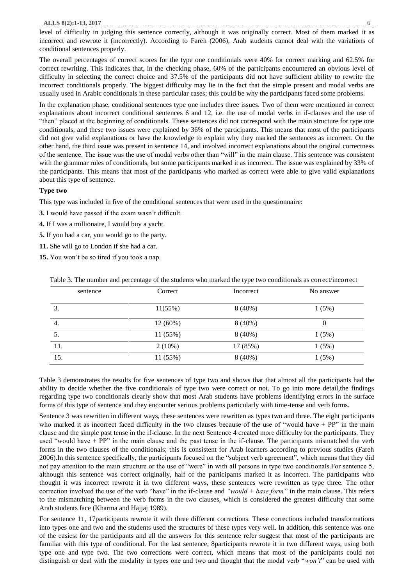#### **ALLS 8(2):1-13, 2017** 6

level of difficulty in judging this sentence correctly, although it was originally correct. Most of them marked it as incorrect and rewrote it (incorrectly). According to Fareh (2006), Arab students cannot deal with the variations of conditional sentences properly.

The overall percentages of correct scores for the type one conditionals were 40% for correct marking and 62.5% for correct rewriting. This indicates that, in the checking phase, 60% of the participants encountered an obvious level of difficulty in selecting the correct choice and 37.5% of the participants did not have sufficient ability to rewrite the incorrect conditionals properly. The biggest difficulty may lie in the fact that the simple present and modal verbs are usually used in Arabic conditionals in these particular cases; this could be why the participants faced some problems.

In the explanation phase, conditional sentences type one includes three issues. Two of them were mentioned in correct explanations about incorrect conditional sentences 6 and 12, i.e. the use of modal verbs in if-clauses and the use of "then" placed at the beginning of conditionals. These sentences did not correspond with the main structure for type one conditionals, and these two issues were explained by 36% of the participants. This means that most of the participants did not give valid explanations or have the knowledge to explain why they marked the sentences as incorrect. On the other hand, the third issue was present in sentence 14, and involved incorrect explanations about the original correctness of the sentence. The issue was the use of modal verbs other than "will" in the main clause. This sentence was consistent with the grammar rules of conditionals, but some participants marked it as incorrect. The issue was explained by 33% of the participants. This means that most of the participants who marked as correct were able to give valid explanations about this type of sentence.

# **Type two**

This type was included in five of the conditional sentences that were used in the questionnaire:

- **3.** I would have passed if the exam wasn't difficult.
- **4.** If I was a millionaire, I would buy a yacht.
- **5.** If you had a car, you would go to the party.
- **11.** She will go to London if she had a car.
- **15.** You won't be so tired if you took a nap.

|  | Table 3. The number and percentage of the students who marked the type two conditionals as correct/incorrect |
|--|--------------------------------------------------------------------------------------------------------------|
|  |                                                                                                              |

| sentence | Correct   | Incorrect | No answer |
|----------|-----------|-----------|-----------|
| 3.       | 11(55%)   | $8(40\%)$ | 1(5%)     |
| 4.       | 12 (60%)  | $8(40\%)$ | 0         |
| 5.       | 11 (55%)  | $8(40\%)$ | 1(5%)     |
| 11.      | $2(10\%)$ | 17 (85%)  | 1(5%)     |
| 15.      | 11 (55%)  | $8(40\%)$ | 1(5%)     |

Table 3 demonstrates the results for five sentences of type two and shows that that almost all the participants had the ability to decide whether the five conditionals of type two were correct or not. To go into more detail, the findings regarding type two conditionals clearly show that most Arab students have problems identifying errors in the surface forms of this type of sentence and they encounter serious problems particularly with time-tense and verb forms.

Sentence 3 was rewritten in different ways, these sentences were rewritten as types two and three. The eight participants who marked it as incorrect faced difficulty in the two clauses because of the use of "would have + PP" in the main clause and the simple past tense in the if-clause. In the next Sentence 4 created more difficulty for the participants. They used "would have + PP" in the main clause and the past tense in the if-clause. The participants mismatched the verb forms in the two clauses of the conditionals; this is consistent for Arab learners according to previous studies (Fareh 2006).In this sentence specifically, the participants focused on the "subject verb agreement", which means that they did not pay attention to the main structure or the use of "were" in with all persons in type two conditionals.For sentence 5, although this sentence was correct originally, half of the participants marked it as incorrect. The participants who thought it was incorrect rewrote it in two different ways, these sentences were rewritten as type three. The other correction involved the use of the verb "have" in the if-clause and *"would + base form"* in the main clause. This refers to the mismatching between the verb forms in the two clauses, which is considered the greatest difficulty that some Arab students face (Kharma and Hajjaj 1989).

For sentence 11, 17participants rewrote it with three different corrections. These corrections included transformations into types one and two and the students used the structures of these types very well. In addition, this sentence was one of the easiest for the participants and all the answers for this sentence refer suggest that most of the participants are familiar with this type of conditional. For the last sentence, 8participants rewrote it in two different ways, using both type one and type two. The two corrections were correct, which means that most of the participants could not distinguish or deal with the modality in types one and two and thought that the modal verb "*won't*" can be used with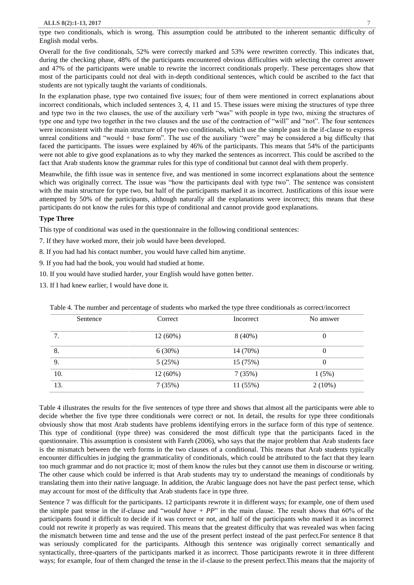type two conditionals, which is wrong. This assumption could be attributed to the inherent semantic difficulty of English modal verbs.

Overall for the five conditionals, 52% were correctly marked and 53% were rewritten correctly. This indicates that, during the checking phase, 48% of the participants encountered obvious difficulties with selecting the correct answer and 47% of the participants were unable to rewrite the incorrect conditionals properly. These percentages show that most of the participants could not deal with in-depth conditional sentences, which could be ascribed to the fact that students are not typically taught the variants of conditionals.

In the explanation phase, type two contained five issues; four of them were mentioned in correct explanations about incorrect conditionals, which included sentences 3, 4, 11 and 15. These issues were mixing the structures of type three and type two in the two clauses, the use of the auxiliary verb "was" with people in type two, mixing the structures of type one and type two together in the two clauses and the use of the contraction of "will" and "not". The four sentences were inconsistent with the main structure of type two conditionals, which use the simple past in the if-clause to express unreal conditions and "would + base form". The use of the auxiliary "were" may be considered a big difficulty that faced the participants. The issues were explained by 46% of the participants. This means that 54% of the participants were not able to give good explanations as to why they marked the sentences as incorrect. This could be ascribed to the fact that Arab students know the grammar rules for this type of conditional but cannot deal with them properly.

Meanwhile, the fifth issue was in sentence five, and was mentioned in some incorrect explanations about the sentence which was originally correct. The issue was "how the participants deal with type two". The sentence was consistent with the main structure for type two, but half of the participants marked it as incorrect. Justifications of this issue were attempted by 50% of the participants, although naturally all the explanations were incorrect; this means that these participants do not know the rules for this type of conditional and cannot provide good explanations.

# **Type Three**

This type of conditional was used in the questionnaire in the following conditional sentences:

- 7. If they have worked more, their job would have been developed.
- 8. If you had had his contact number, you would have called him anytime.
- 9. If you had had the book, you would had studied at home.
- 10. If you would have studied harder, your English would have gotten better.
- 13. If I had knew earlier, I would have done it.

| Sentence | Correct    | Incorrect | No answer |
|----------|------------|-----------|-----------|
| 7.       | $12(60\%)$ | $8(40\%)$ |           |
| 8.       | 6(30%)     | 14 (70%)  | 0         |
| 9.       | 5(25%)     | 15 (75%)  | 0         |
| 10.      | $12(60\%)$ | 7(35%)    | 1(5%)     |
| 13.      | 7(35%)     | 11(55%)   | $2(10\%)$ |

Table 4. The number and percentage of students who marked the type three conditionals as correct/incorrect

Table 4 illustrates the results for the five sentences of type three and shows that almost all the participants were able to decide whether the five type three conditionals were correct or not. In detail, the results for type three conditionals obviously show that most Arab students have problems identifying errors in the surface form of this type of sentence. This type of conditional (type three) was considered the most difficult type that the participants faced in the questionnaire. This assumption is consistent with Fareh (2006), who says that the major problem that Arab students face is the mismatch between the verb forms in the two clauses of a conditional. This means that Arab students typically encounter difficulties in judging the grammaticality of conditionals, which could be attributed to the fact that they learn too much grammar and do not practice it; most of them know the rules but they cannot use them in discourse or writing. The other cause which could be inferred is that Arab students may try to understand the meanings of conditionals by translating them into their native language. In addition, the Arabic language does not have the past perfect tense, which may account for most of the difficulty that Arab students face in type three.

Sentence 7 was difficult for the participants. 12 participants rewrote it in different ways; for example, one of them used the simple past tense in the if-clause and "*would have + PP*" in the main clause. The result shows that 60% of the participants found it difficult to decide if it was correct or not, and half of the participants who marked it as incorrect could not rewrite it properly as was required. This means that the greatest difficulty that was revealed was when facing the mismatch between time and tense and the use of the present perfect instead of the past perfect.For sentence 8 that was seriously complicated for the participants. Although this sentence was originally correct semantically and syntactically, three-quarters of the participants marked it as incorrect. Those participants rewrote it in three different ways; for example, four of them changed the tense in the if-clause to the present perfect.This means that the majority of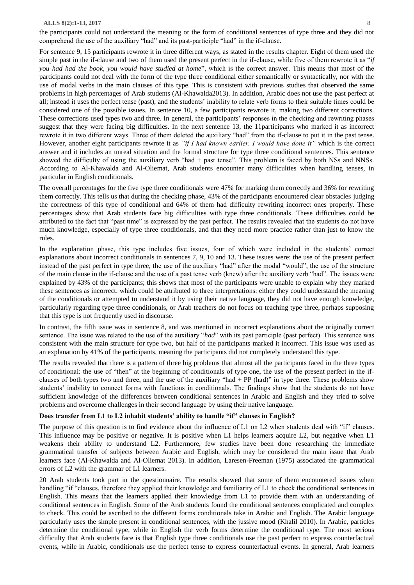#### **ALLS 8(2):1-13, 2017** 8

the participants could not understand the meaning or the form of conditional sentences of type three and they did not comprehend the use of the auxiliary "had" and its past-participle "had" in the if-clause.

For sentence 9, 15 participants rewrote it in three different ways, as stated in the results chapter. Eight of them used the simple past in the if-clause and two of them used the present perfect in the if-clause, while five of them rewrote it as "*if you had had the book, you would have studied at home*", which is the correct answer. This means that most of the participants could not deal with the form of the type three conditional either semantically or syntactically, nor with the use of modal verbs in the main clauses of this type. This is consistent with previous studies that observed the same problems in high percentages of Arab students (Al-Khawalda2013). In addition, Arabic does not use the past perfect at all; instead it uses the perfect tense (past), and the students' inability to relate verb forms to their suitable times could be considered one of the possible issues. In sentence 10, a few participants rewrote it, making two different corrections. These corrections used types two and three. In general, the participants' responses in the checking and rewriting phases suggest that they were facing big difficulties. In the next sentence 13, the 11participants who marked it as incorrect rewrote it in two different ways. Three of them deleted the auxiliary "had" from the if-clause to put it in the past tense. However, another eight participants rewrote it as *"if I had known earlier, I would have done it"* which is the correct answer and it includes an unreal situation and the formal structure for type three conditional sentences. This sentence showed the difficulty of using the auxiliary verb "had + past tense". This problem is faced by both NSs and NNSs. According to Al-Khawalda and Al-Oliemat, Arab students encounter many difficulties when handling tenses, in particular in English conditionals.

The overall percentages for the five type three conditionals were 47% for marking them correctly and 36% for rewriting them correctly. This tells us that during the checking phase, 43% of the participants encountered clear obstacles judging the correctness of this type of conditional and 64% of them had difficulty rewriting incorrect ones properly. These percentages show that Arab students face big difficulties with type three conditionals. These difficulties could be attributed to the fact that "past time" is expressed by the past perfect. The results revealed that the students do not have much knowledge, especially of type three conditionals, and that they need more practice rather than just to know the rules.

In the explanation phase, this type includes five issues, four of which were included in the students' correct explanations about incorrect conditionals in sentences 7, 9, 10 and 13. These issues were: the use of the present perfect instead of the past perfect in type three, the use of the auxiliary "had" after the modal "would", the use of the structure of the main clause in the if-clause and the use of a past tense verb (knew) after the auxiliary verb "had". The issues were explained by 43% of the participants; this shows that most of the participants were unable to explain why they marked these sentences as incorrect. which could be attributed to three interpretations: either they could understand the meaning of the conditionals or attempted to understand it by using their native language, they did not have enough knowledge, particularly regarding type three conditionals, or Arab teachers do not focus on teaching type three, perhaps supposing that this type is not frequently used in discourse.

In contrast, the fifth issue was in sentence 8, and was mentioned in incorrect explanations about the originally correct sentence. The issue was related to the use of the auxiliary "*had*" with its past participle (past perfect). This sentence was consistent with the main structure for type two, but half of the participants marked it incorrect. This issue was used as an explanation by 41% of the participants, meaning the participants did not completely understand this type.

The results revealed that there is a pattern of three big problems that almost all the participants faced in the three types of conditional: the use of "then" at the beginning of conditionals of type one, the use of the present perfect in the ifclauses of both types two and three, and the use of the auxiliary "had + PP (had)" in type three. These problems show students' inability to connect forms with functions in conditionals. The findings show that the students do not have sufficient knowledge of the differences between conditional sentences in Arabic and English and they tried to solve problems and overcome challenges in their second language by using their native language.

#### **Does transfer from L1 to L2 inhabit students' ability to handle "if" clauses in English?**

The purpose of this question is to find evidence about the influence of L1 on L2 when students deal with "if" clauses. This influence may be positive or negative. It is positive when L1 helps learners acquire L2, but negative when L1 weakens their ability to understand L2. Furthermore, few studies have been done researching the immediate grammatical transfer of subjects between Arabic and English, which may be considered the main issue that Arab learners face (Al-Khawalda and Al-Oliemat 2013). In addition, Laresen-Freeman (1975) associated the grammatical errors of L2 with the grammar of L1 learners.

20 Arab students took part in the questionnaire. The results showed that some of them encountered issues when handling "if "clauses, therefore they applied their knowledge and familiarity of L1 to check the conditional sentences in English. This means that the learners applied their knowledge from L1 to provide them with an understanding of conditional sentences in English. Some of the Arab students found the conditional sentences complicated and complex to check. This could be ascribed to the different forms conditionals take in Arabic and English. The Arabic language particularly uses the simple present in conditional sentences, with the jussive mood (Khalil 2010). In Arabic, particles determine the conditional type, while in English the verb forms determine the conditional type. The most serious difficulty that Arab students face is that English type three conditionals use the past perfect to express counterfactual events, while in Arabic, conditionals use the perfect tense to express counterfactual events. In general, Arab learners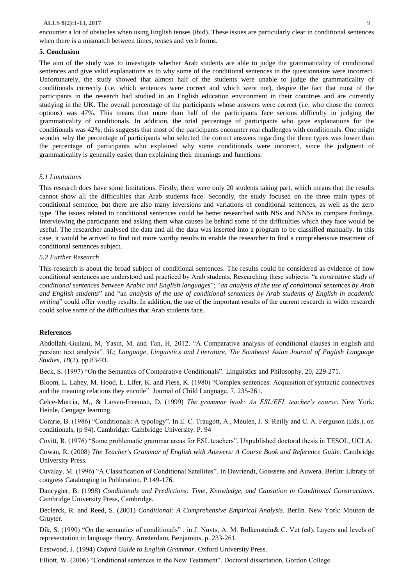encounter a lot of obstacles when using English tenses (ibid). These issues are particularly clear in conditional sentences when there is a mismatch between times, tenses and verb forms.

## **5. Conclusion**

The aim of the study was to investigate whether Arab students are able to judge the grammaticality of conditional sentences and give valid explanations as to why some of the conditional sentences in the questionnaire were incorrect. Unfortunately, the study showed that almost half of the students were unable to judge the grammaticality of conditionals correctly (i.e. which sentences were correct and which were not), despite the fact that most of the participants in the research had studied in an English education environment in their countries and are currently studying in the UK. The overall percentage of the participants whose answers were correct (i.e. who chose the correct options) was 47%. This means that more than half of the participants face serious difficulty in judging the grammaticality of conditionals. In addition, the total percentage of participants who gave explanations for the conditionals was 42%; this suggests that most of the participants encounter real challenges with conditionals. One might wonder why the percentage of participants who selected the correct answers regarding the three types was lower than the percentage of participants who explained why some conditionals were incorrect, since the judgment of grammaticality is generally easier than explaining their meanings and functions.

#### *5.1 Limitations*

This research does have some limitations. Firstly, there were only 20 students taking part, which means that the results cannot show all the difficulties that Arab students face. Secondly, the study focused on the three main types of conditional sentence, but there are also many inversions and variations of conditional sentences, as well as the zero type. The issues related to conditional sentences could be better researched with NSs and NNSs to compare findings. Interviewing the participants and asking them what causes lie behind some of the difficulties which they face would be useful. The researcher analysed the data and all the data was inserted into a program to be classified manually. In this case, it would be arrived to find out more worthy results to enable the researcher to find a comprehensive treatment of conditional sentences subject.

## *5.2 Further Research*

This research is about the broad subject of conditional sentences. The results could be considered as evidence of how conditional sentences are understood and practiced by Arab students. Researching these subjects: "a *contrastive study of conditional sentences between Arabic and English languages*"; "*an analysis of the use of conditional sentences by Arab and English students*" and "an *analysis of the use of conditional sentences by Arab students of English in academic writing*" could offer worthy results. In addition, the use of the important results of the current research in wider research could solve some of the difficulties that Arab students face.

# **References**

Abdollahi-Guilani, M, Yasin, M. and Tan, H, 2012. "A Comparative analysis of conditional clauses in english and persian: text analysis". *3L; Language, Linguistics and Literature, The Southeast Asian Journal of English Language Studies, 18*(2), pp.83-93.

Beck, S. (1997) "On the Semantics of Comparative Conditionals". Linguistics and Philosophy, 20, 229-271.

Bloom, L. Lahey, M. Hood, L. Lifer, K. and Fiess, K. (1980) "Complex sentences: Acquisition of syntactic connectives and the meaning relations they encode". Journal of Child Language, 7, 235-261.

Celce-Murcia, M., & Larsen-Freeman, D. (1999) *The grammar book: An ESL/EFL teacher's course*. New York: Heinle, Cengage learning.

Comrie, B. (1986) "Conditionals: A typology". In E. C. Traugott, A., Meulen, J. S. Reilly and C. A. Ferguson (Eds.), on conditionals, (p 94). Cambridge: Cambridge University. P. 94

Covitt, R. (1976) "Some problematic grammar areas for ESL teachers". Unpublished doctoral thesis in TESOL, UCLA.

Cowan, R. (2008) *The Teacher's Grammar of English with Answers: A Course Book and Reference Guide*. Cambridge University Press.

Cuvalay, M. (1996) "A Classification of Conditional Satellites". In Devriendt, Goossens and Auwera. Berlin: Library of congress Catalonging in Publication. P.149-176.

Dancygier, B. (1998) *Conditionals and Predictions: Time, Knowledge, and Causation in Conditional Constructions*. Cambridge University Press, Cambridge.

Declerck, R. and Reed, S. (2001) *Conditional: A Comprehensive Empirical Analysis*. Berlin. New York: Mouton de Gruyter.

Dik, S. (1990) "On the semantics of conditionals", in J. Nuyts, A. M. Bolkenstein & C. Vet (ed), Layers and levels of representation in language theory, Amsterdam, Benjamins, p. 233-261.

Eastwood, J. (1994) *Oxford Guide to English Grammar*. Oxford University Press.

Elliott, W. (2006) "Conditional sentences in the New Testament". Doctoral dissertation, Gordon College.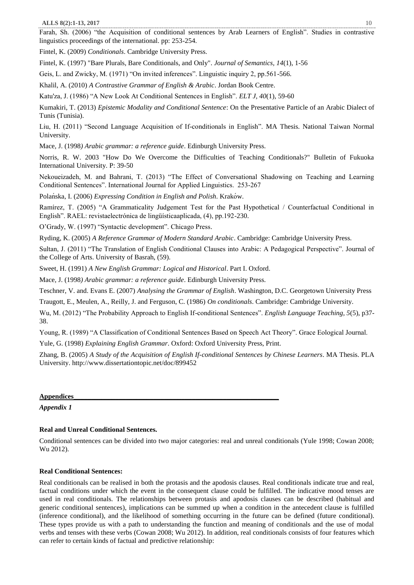Farah, Sh. (2006) "the Acquisition of conditional sentences by Arab Learners of English". Studies in contrastive linguistics proceedings of the international. pp: 253-254.

Fintel, K. (2009) *Conditionals*. Cambridge University Press.

Fintel, K. (1997) "Bare Plurals, Bare Conditionals, and Only". *Journal of Semantics, 14*(1), 1-56

Geis, L. and Zwicky, M. (1971) "On invited inferences". Linguistic inquiry 2, pp.561-566.

Khalil, A. (2010) *A Contrastive Grammar of English & Arabic*. Jordan Book Centre.

Katu'za, J. (1986) "A New Look At Conditional Sentences in English". *ELT J, 40*(1), 59-60

Kumakiri, T. (2013) *Epistemic Modality and Conditional Sentence*: On the Presentative Particle of an Arabic Dialect of Tunis (Tunisia).

Liu, H. (2011) "Second Language Acquisition of If-conditionals in English". MA Thesis. National Taiwan Normal University.

Mace, J. (1998*) Arabic grammar: a reference guide*. Edinburgh University Press.

Norris, R. W. 2003 "How Do We Overcome the Difficulties of Teaching Conditionals?" Bulletin of Fukuoka International University. P: 39-50

Nekoueizadeh, M. and Bahrani, T. (2013) "The Effect of Conversational Shadowing on Teaching and Learning Conditional Sentences". International Journal for Applied Linguistics. 253‐267

Polańska, I. (2006) *Expressing Condition in English and Polish*. Kraków.

Ramírez, T. (2005) "A Grammaticality Judgement Test for the Past Hypothetical / Counterfactual Conditional in English". RAEL: revistaelectrónica de lingüísticaaplicada, (4), pp.192-230.

O'Grady, W. (1997) "Syntactic development". Chicago Press.

Ryding, K. (2005) *A Reference Grammar of Modern Standard Arabic*. Cambridge: Cambridge University Press.

Sultan, J. (2011) "The Translation of English Conditional Clauses into Arabic: A Pedagogical Perspective". Journal of the College of Arts. University of Basrah, (59).

Sweet, H. (1991) *A New English Grammar: Logical and Historical*. Part I. Oxford.

Mace, J. (1998*) Arabic grammar: a reference guide*. Edinburgh University Press.

Teschner, V. and. Evans E. (2007) *Analysing the Grammar of English*. Washington, D.C. Georgetown University Press

Traugott, E., Meulen, A., Reilly, J. and Ferguson, C. (1986) *On conditionals*. Cambridge: Cambridge University.

Wu, M. (2012) "The Probability Approach to English If-conditional Sentences". *English Language Teaching, 5*(5), p37- 38.

Young, R. (1989) "A Classification of Conditional Sentences Based on Speech Act Theory". Grace Eological Journal.

Yule, G. (1998) *Explaining English Grammar*. Oxford: Oxford University Press, Print.

Zhang, B. (2005) *A Study of the Acquisition of English If-conditional Sentences by Chinese Learners*. MA Thesis. PLA University.<http://www.dissertationtopic.net/doc/899452>

**Appendices\_\_\_\_\_\_\_\_\_\_\_\_\_\_\_\_\_\_\_\_\_\_\_\_\_\_\_\_\_\_\_\_\_\_\_\_\_\_\_\_\_\_\_\_\_\_\_\_\_\_\_\_\_\_\_\_\_\_\_**

*Appendix 1*

# **Real and Unreal Conditional Sentences.**

Conditional sentences can be divided into two major categories: real and unreal conditionals (Yule 1998; Cowan 2008; Wu 2012).

# **Real Conditional Sentences:**

Real conditionals can be realised in both the protasis and the apodosis clauses. Real conditionals indicate true and real, factual conditions under which the event in the consequent clause could be fulfilled. The indicative mood tenses are used in real conditionals. The relationships between protasis and apodosis clauses can be described (habitual and generic conditional sentences), implications can be summed up when a condition in the antecedent clause is fulfilled (inference conditional), and the likelihood of something occurring in the future can be defined (future conditional). These types provide us with a path to understanding the function and meaning of conditionals and the use of modal verbs and tenses with these verbs (Cowan 2008; Wu 2012). In addition, real conditionals consists of four features which can refer to certain kinds of factual and predictive relationship: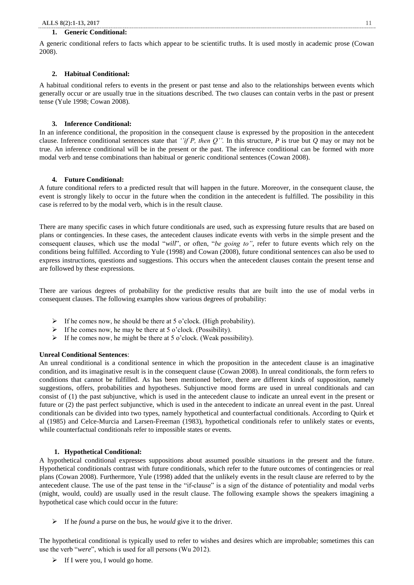# **1. Generic Conditional:**

A generic conditional refers to facts which appear to be scientific truths. It is used mostly in academic prose (Cowan 2008).

#### **2. Habitual Conditional:**

A habitual conditional refers to events in the present or past tense and also to the relationships between events which generally occur or are usually true in the situations described. The two clauses can contain verbs in the past or present tense (Yule 1998; Cowan 2008).

#### **3. Inference Conditional:**

In an inference conditional, the proposition in the consequent clause is expressed by the proposition in the antecedent clause. Inference conditional sentences state that *''if P, then Q''.* In this structure, *P* is true but *Q* may or may not be true. An inference conditional will be in the present or the past. The inference conditional can be formed with more modal verb and tense combinations than habitual or generic conditional sentences (Cowan 2008).

# **4. Future Conditional:**

A future conditional refers to a predicted result that will happen in the future. Moreover, in the consequent clause, the event is strongly likely to occur in the future when the condition in the antecedent is fulfilled. The possibility in this case is referred to by the modal verb, which is in the result clause.

There are many specific cases in which future conditionals are used, such as expressing future results that are based on plans or contingencies. In these cases, the antecedent clauses indicate events with verbs in the simple present and the consequent clauses, which use the modal "*will*", or often, "*be going to"*, refer to future events which rely on the conditions being fulfilled. According to Yule (1998) and Cowan (2008), future conditional sentences can also be used to express instructions, questions and suggestions. This occurs when the antecedent clauses contain the present tense and are followed by these expressions.

There are various degrees of probability for the predictive results that are built into the use of modal verbs in consequent clauses. The following examples show various degrees of probability:

- $\triangleright$  If he comes now, he should be there at 5 o'clock. (High probability).
- $\triangleright$  If he comes now, he may be there at 5 o'clock. (Possibility).
- $\triangleright$  If he comes now, he might be there at 5 o'clock. (Weak possibility).

#### **Unreal Conditional Sentences**:

An unreal conditional is a conditional sentence in which the proposition in the antecedent clause is an imaginative condition, and its imaginative result is in the consequent clause (Cowan 2008). In unreal conditionals, the form refers to conditions that cannot be fulfilled. As has been mentioned before, there are different kinds of supposition, namely suggestions, offers, probabilities and hypotheses. Subjunctive mood forms are used in unreal conditionals and can consist of (1) the past subjunctive, which is used in the antecedent clause to indicate an unreal event in the present or future or (2) the past perfect subjunctive, which is used in the antecedent to indicate an unreal event in the past. Unreal conditionals can be divided into two types, namely hypothetical and counterfactual conditionals. According to Quirk et al (1985) and Celce-Murcia and Larsen-Freeman (1983), hypothetical conditionals refer to unlikely states or events, while counterfactual conditionals refer to impossible states or events.

#### **1. Hypothetical Conditional:**

A hypothetical conditional expresses suppositions about assumed possible situations in the present and the future. Hypothetical conditionals contrast with future conditionals, which refer to the future outcomes of contingencies or real plans (Cowan 2008). Furthermore, Yule (1998) added that the unlikely events in the result clause are referred to by the antecedent clause. The use of the past tense in the "if-clause" is a sign of the distance of potentiality and modal verbs (might, would, could) are usually used in the result clause. The following example shows the speakers imagining a hypothetical case which could occur in the future:

If he *found* a purse on the bus, he *would* give it to the driver.

The hypothetical conditional is typically used to refer to wishes and desires which are improbable; sometimes this can use the verb "*were*", which is used for all persons (Wu 2012).

 $\triangleright$  If I were you, I would go home.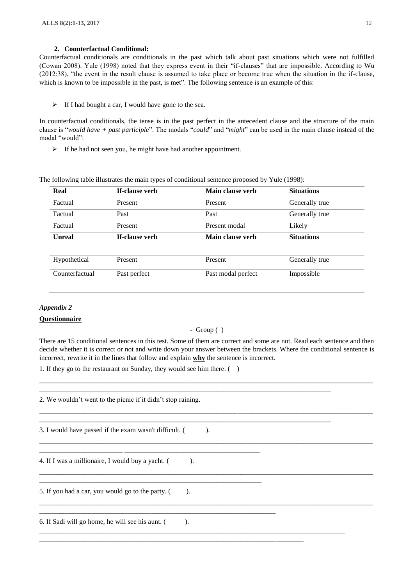# **2. Counterfactual Conditional:**

Counterfactual conditionals are conditionals in the past which talk about past situations which were not fulfilled (Cowan 2008). Yule (1998) noted that they express event in their "if-clauses" that are impossible. According to Wu (2012:38), "the event in the result clause is assumed to take place or become true when the situation in the if-clause, which is known to be impossible in the past, is met". The following sentence is an example of this:

# > If I had bought a car, I would have gone to the sea.

In counterfactual conditionals, the tense is in the past perfect in the antecedent clause and the structure of the main clause is "*would have + past participle*". The modals "*could*" and "*might*" can be used in the main clause instead of the modal "would":

 $\triangleright$  If he had not seen you, he might have had another appointment.

The following table illustrates the main types of conditional sentence proposed by Yule (1998):

| Real           | If-clause verb | Main clause verb   | <b>Situations</b> |
|----------------|----------------|--------------------|-------------------|
| Factual        | Present        | Present            | Generally true    |
| Factual        | Past           | Past               | Generally true    |
| Factual        | Present        | Present modal      | Likely            |
| <b>Unreal</b>  | If-clause verb | Main clause verb   | <b>Situations</b> |
|                |                |                    |                   |
| Hypothetical   | Present        | Present            | Generally true    |
| Counterfactual | Past perfect   | Past modal perfect | Impossible        |

# *Appendix 2*

# **Questionnaire**

# - Group ( )

There are 15 conditional sentences in this test. Some of them are correct and some are not. Read each sentence and then decide whether it is correct or not and write down your answer between the brackets. Where the conditional sentence is incorrect, rewrite it in the lines that follow and explain **why** the sentence is incorrect.

\_\_\_\_\_\_\_\_\_\_\_\_\_\_\_\_\_\_\_\_\_\_\_\_\_\_\_\_\_\_\_\_\_\_\_\_\_\_\_\_\_\_\_\_\_\_\_\_\_\_\_\_\_\_\_\_\_\_\_\_\_\_\_\_\_\_\_\_\_\_\_\_\_\_\_\_\_\_\_\_\_\_\_\_\_\_\_\_\_\_\_\_\_\_\_\_

1. If they go to the restaurant on Sunday, they would see him there. ( )

| 2. We wouldn't went to the picnic if it didn't stop raining.                    |  |
|---------------------------------------------------------------------------------|--|
| 3. I would have passed if the exam wasn't difficult. (                          |  |
| 4. If I was a millionaire, I would buy a yacht. ().                             |  |
| 5. If you had a car, you would go to the party. (<br>$\blacksquare$ ).          |  |
| 6. If Sadi will go home, he will see his aunt. (<br>$\overline{\phantom{a}}$ ). |  |
|                                                                                 |  |